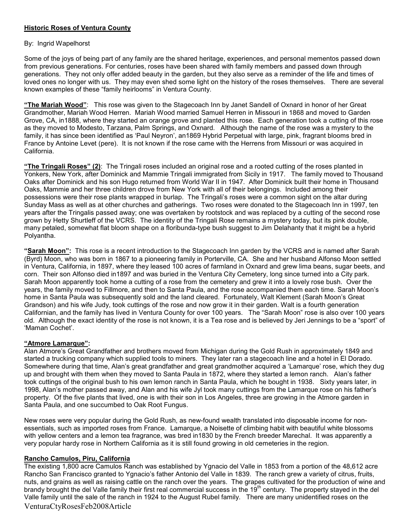## Historic Roses of Ventura County

## By: Ingrid Wapelhorst

Some of the joys of being part of any family are the shared heritage, experiences, and personal mementos passed down from previous generations. For centuries, roses have been shared with family members and passed down through generations. They not only offer added beauty in the garden, but they also serve as a reminder of the life and times of loved ones no longer with us. They may even shed some light on the history of the roses themselves. There are several known examples of these "family heirlooms" in Ventura County.

"The Mariah Wood": This rose was given to the Stagecoach Inn by Janet Sandell of Oxnard in honor of her Great Grandmother, Mariah Wood Herren. Mariah Wood married Samuel Herren in Missouri in 1868 and moved to Garden Grove, CA, in1888, where they started an orange grove and planted this rose. Each generation took a cutting of this rose as they moved to Modesto, Tarzana, Palm Springs, and Oxnard. Although the name of the rose was a mystery to the family, it has since been identified as 'Paul Neyron', an1869 Hybrid Perpetual with large, pink, fragrant blooms bred in France by Antoine Levet (pere). It is not known if the rose came with the Herrens from Missouri or was acquired in California.

"The Tringali Roses" (2): The Tringali roses included an original rose and a rooted cutting of the roses planted in Yonkers, New York, after Dominick and Mammie Tringali immigrated from Sicily in 1917. The family moved to Thousand Oaks after Dominick and his son Hugo returned from World War II in 1947. After Dominick built their home in Thousand Oaks, Mammie and her three children drove from New York with all of their belongings. Included among their possessions were their rose plants wrapped in burlap. The Tringali's roses were a common sight on the altar during Sunday Mass as well as at other churches and gatherings. Two roses were donated to the Stagecoach Inn in 1997, ten years after the Tringalis passed away; one was overtaken by rootstock and was replaced by a cutting of the second rose grown by Hetty Shurtleff of the VCRS. The identity of the Tringali Rose remains a mystery today, but its pink double, many petaled, somewhat flat bloom shape on a floribunda-type bush suggest to Jim Delahanty that it might be a hybrid Polyantha.

"Sarah Moon": This rose is a recent introduction to the Stagecoach Inn garden by the VCRS and is named after Sarah (Byrd) Moon, who was born in 1867 to a pioneering family in Porterville, CA. She and her husband Alfonso Moon settled in Ventura, California, in 1897, where they leased 100 acres of farmland in Oxnard and grew lima beans, sugar beets, and corn. Their son Alfonso died in1897 and was buried in the Ventura City Cemetery, long since turned into a City park. Sarah Moon apparently took home a cutting of a rose from the cemetery and grew it into a lovely rose bush. Over the years, the family moved to Fillmore, and then to Santa Paula, and the rose accompanied them each time. Sarah Moon's home in Santa Paula was subsequently sold and the land cleared. Fortunately, Walt Klement (Sarah Moon's Great Grandson) and his wife Judy, took cuttings of the rose and now grow it in their garden. Walt is a fourth generation Californian, and the family has lived in Ventura County for over 100 years. The "Sarah Moon" rose is also over 100 years old. Although the exact identity of the rose is not known, it is a Tea rose and is believed by Jeri Jennings to be a "sport" of 'Maman Cochet'.

## "Atmore Lamarque":

Alan Atmore's Great Grandfather and brothers moved from Michigan during the Gold Rush in approximately 1849 and started a trucking company which supplied tools to miners. They later ran a stagecoach line and a hotel in El Dorado. Somewhere during that time, Alan's great grandfather and great grandmother acquired a 'Lamarque' rose, which they dug up and brought with them when they moved to Santa Paula in 1872, where they started a lemon ranch. Alan's father took cuttings of the original bush to his own lemon ranch in Santa Paula, which he bought in 1938. Sixty years later, in 1998, Alan's mother passed away, and Alan and his wife Jyl took many cuttings from the Lamarque rose on his father's property. Of the five plants that lived, one is with their son in Los Angeles, three are growing in the Atmore garden in Santa Paula, and one succumbed to Oak Root Fungus.

New roses were very popular during the Gold Rush, as new-found wealth translated into disposable income for nonessentials, such as imported roses from France. Lamarque, a Noisette of climbing habit with beautiful white blossoms with yellow centers and a lemon tea fragrance, was bred in1830 by the French breeder Marechal. It was apparently a very popular hardy rose in Northern California as it is still found growing in old cemeteries in the region.

## Rancho Camulos, Piru, California

VenturaCtyRosesFeb2008Article The existing 1,800 acre Camulos Ranch was established by Ygnacio del Valle in 1853 from a portion of the 48,612 acre Rancho San Francisco granted to Ygnacio's father Antonio del Valle in 1839. The ranch grew a variety of citrus, fruits, nuts, and grains as well as raising cattle on the ranch over the years. The grapes cultivated for the production of wine and brandy brought the del Valle family their first real commercial success in the 19<sup>th</sup> century. The property stayed in the del Valle family until the sale of the ranch in 1924 to the August Rubel family. There are many unidentified roses on the